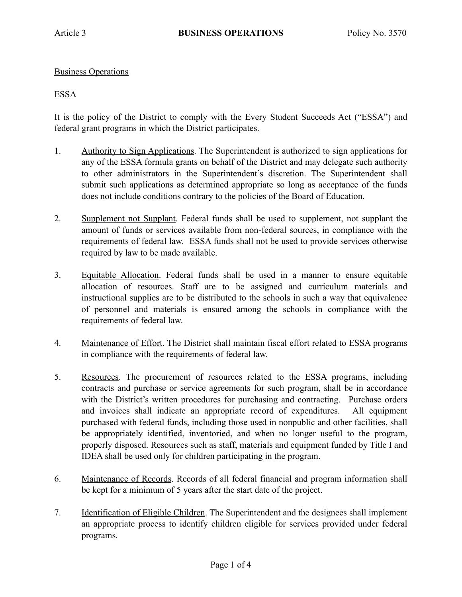## Business Operations

## ESSA

It is the policy of the District to comply with the Every Student Succeeds Act ("ESSA") and federal grant programs in which the District participates.

- 1. Authority to Sign Applications. The Superintendent is authorized to sign applications for any of the ESSA formula grants on behalf of the District and may delegate such authority to other administrators in the Superintendent's discretion. The Superintendent shall submit such applications as determined appropriate so long as acceptance of the funds does not include conditions contrary to the policies of the Board of Education.
- 2. Supplement not Supplant. Federal funds shall be used to supplement, not supplant the amount of funds or services available from non-federal sources, in compliance with the requirements of federal law. ESSA funds shall not be used to provide services otherwise required by law to be made available.
- 3. Equitable Allocation. Federal funds shall be used in a manner to ensure equitable allocation of resources. Staff are to be assigned and curriculum materials and instructional supplies are to be distributed to the schools in such a way that equivalence of personnel and materials is ensured among the schools in compliance with the requirements of federal law.
- 4. Maintenance of Effort. The District shall maintain fiscal effort related to ESSA programs in compliance with the requirements of federal law.
- 5. Resources. The procurement of resources related to the ESSA programs, including contracts and purchase or service agreements for such program, shall be in accordance with the District's written procedures for purchasing and contracting. Purchase orders and invoices shall indicate an appropriate record of expenditures. All equipment purchased with federal funds, including those used in nonpublic and other facilities, shall be appropriately identified, inventoried, and when no longer useful to the program, properly disposed. Resources such as staff, materials and equipment funded by Title I and IDEA shall be used only for children participating in the program.
- 6. Maintenance of Records. Records of all federal financial and program information shall be kept for a minimum of 5 years after the start date of the project.
- 7. Identification of Eligible Children. The Superintendent and the designees shall implement an appropriate process to identify children eligible for services provided under federal programs.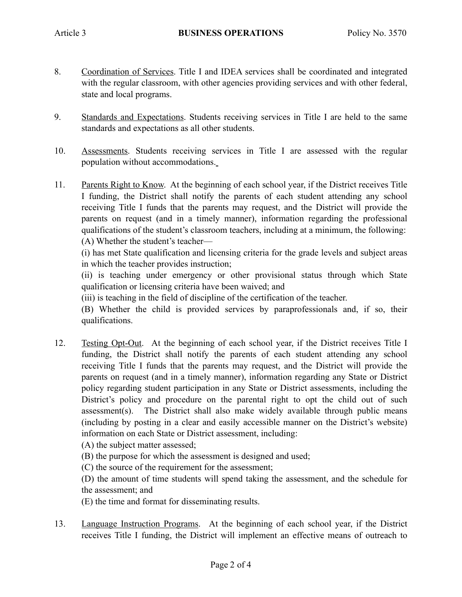- 8. Coordination of Services. Title I and IDEA services shall be coordinated and integrated with the regular classroom, with other agencies providing services and with other federal, state and local programs.
- 9. Standards and Expectations. Students receiving services in Title I are held to the same standards and expectations as all other students.
- 10. Assessments. Students receiving services in Title I are assessed with the regular population without accommodations.
- 11. Parents Right to Know. At the beginning of each school year, if the District receives Title I funding, the District shall notify the parents of each student attending any school receiving Title I funds that the parents may request, and the District will provide the parents on request (and in a timely manner), information regarding the professional qualifications of the student's classroom teachers, including at a minimum, the following: (A) Whether the student's teacher—

(i) has met State qualification and licensing criteria for the grade levels and subject areas in which the teacher provides instruction;

(ii) is teaching under emergency or other provisional status through which State qualification or licensing criteria have been waived; and

(iii) is teaching in the field of discipline of the certification of the teacher.

(B) Whether the child is provided services by paraprofessionals and, if so, their qualifications.

12. Testing Opt-Out. At the beginning of each school year, if the District receives Title I funding, the District shall notify the parents of each student attending any school receiving Title I funds that the parents may request, and the District will provide the parents on request (and in a timely manner), information regarding any State or District policy regarding student participation in any State or District assessments, including the District's policy and procedure on the parental right to opt the child out of such assessment(s). The District shall also make widely available through public means (including by posting in a clear and easily accessible manner on the District's website) information on each State or District assessment, including:

(A) the subject matter assessed;

(B) the purpose for which the assessment is designed and used;

(C) the source of the requirement for the assessment;

(D) the amount of time students will spend taking the assessment, and the schedule for the assessment; and

(E) the time and format for disseminating results.

13. Language Instruction Programs. At the beginning of each school year, if the District receives Title I funding, the District will implement an effective means of outreach to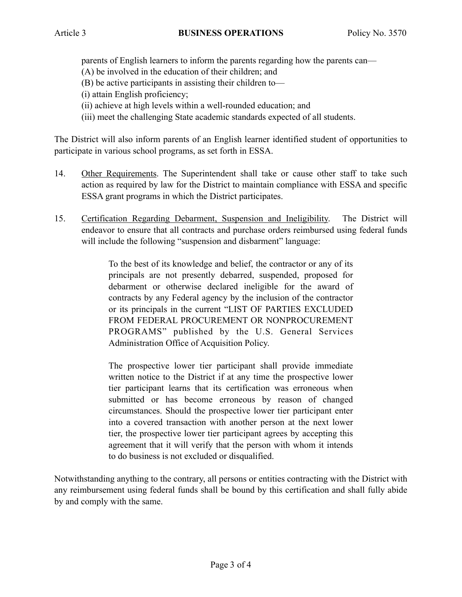parents of English learners to inform the parents regarding how the parents can—

- (A) be involved in the education of their children; and
- (B) be active participants in assisting their children to—
- (i) attain English proficiency;
- (ii) achieve at high levels within a well-rounded education; and
- (iii) meet the challenging State academic standards expected of all students.

The District will also inform parents of an English learner identified student of opportunities to participate in various school programs, as set forth in ESSA.

- 14. Other Requirements. The Superintendent shall take or cause other staff to take such action as required by law for the District to maintain compliance with ESSA and specific ESSA grant programs in which the District participates.
- 15. Certification Regarding Debarment, Suspension and Ineligibility. The District will endeavor to ensure that all contracts and purchase orders reimbursed using federal funds will include the following "suspension and disbarment" language:

To the best of its knowledge and belief, the contractor or any of its principals are not presently debarred, suspended, proposed for debarment or otherwise declared ineligible for the award of contracts by any Federal agency by the inclusion of the contractor or its principals in the current "LIST OF PARTIES EXCLUDED FROM FEDERAL PROCUREMENT OR NONPROCUREMENT PROGRAMS" published by the U.S. General Services Administration Office of Acquisition Policy.

The prospective lower tier participant shall provide immediate written notice to the District if at any time the prospective lower tier participant learns that its certification was erroneous when submitted or has become erroneous by reason of changed circumstances. Should the prospective lower tier participant enter into a covered transaction with another person at the next lower tier, the prospective lower tier participant agrees by accepting this agreement that it will verify that the person with whom it intends to do business is not excluded or disqualified.

Notwithstanding anything to the contrary, all persons or entities contracting with the District with any reimbursement using federal funds shall be bound by this certification and shall fully abide by and comply with the same.